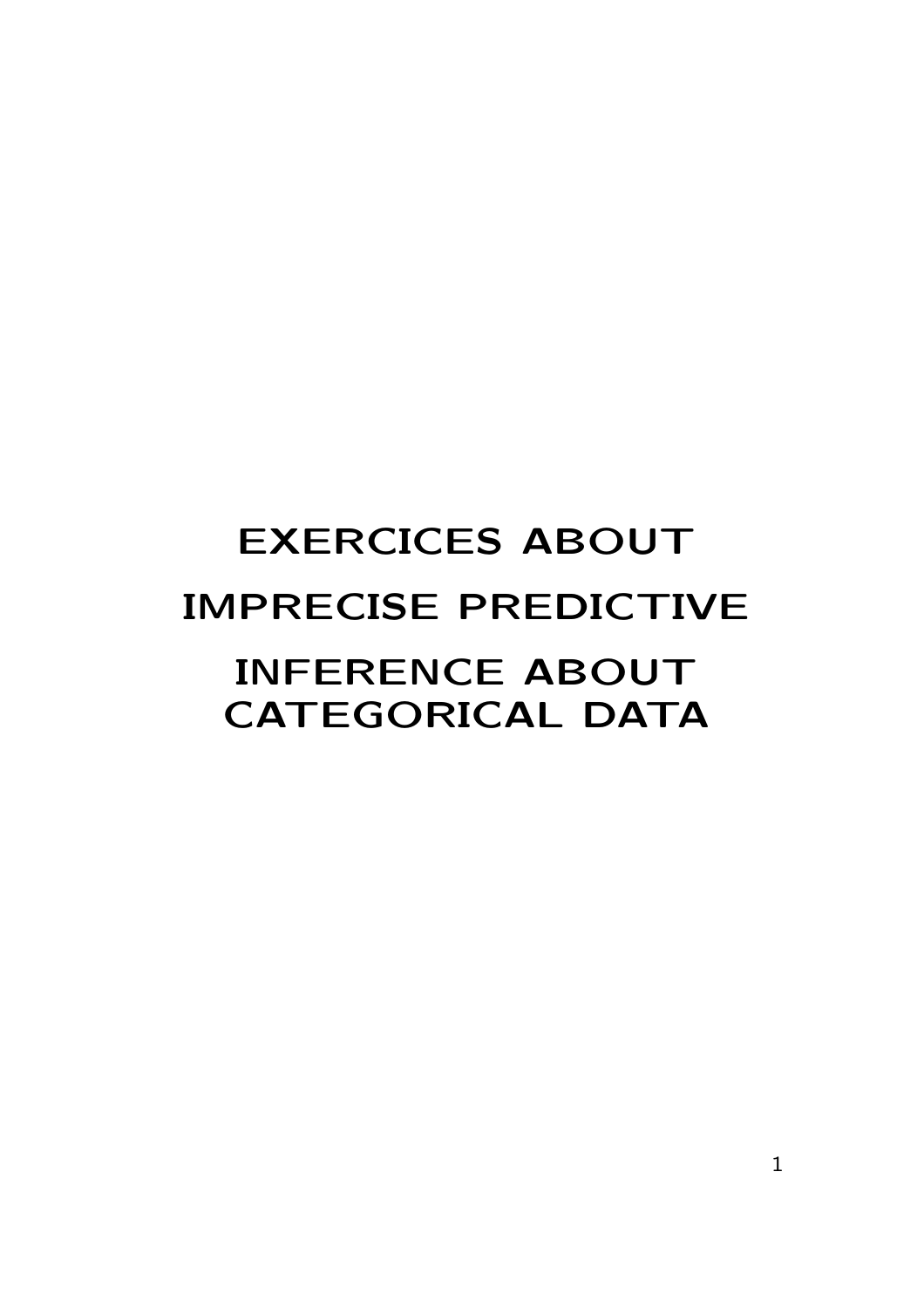# EXERCICES ABOUT IMPRECISE PREDICTIVE INFERENCE ABOUT CATEGORICAL DATA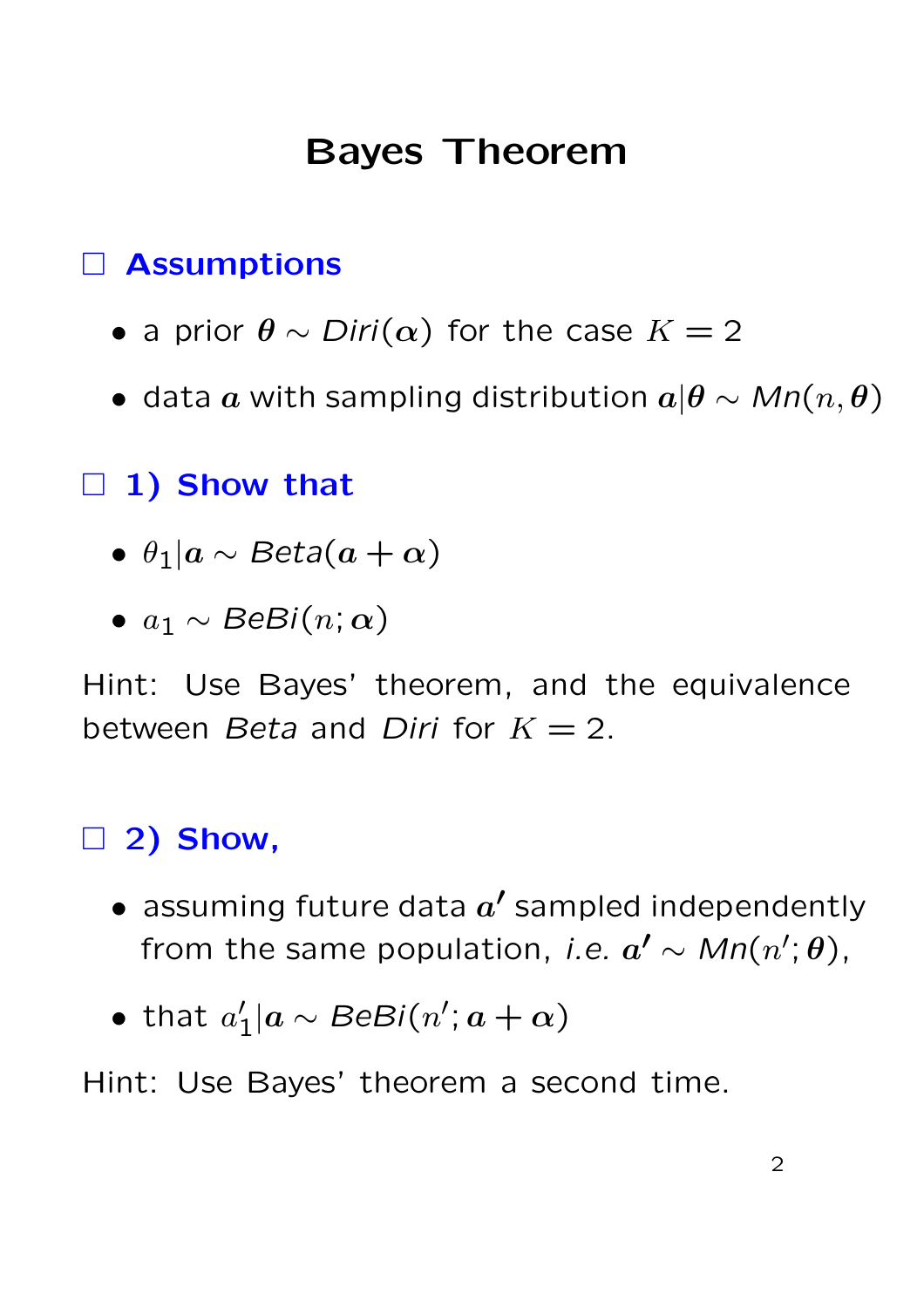## Bayes Theorem

#### Assumptions

- a prior  $\theta \sim Diri(\alpha)$  for the case  $K = 2$
- data  $a$  with sampling distribution  $a|\theta \sim Mn(n,\theta)$

 $\Box$  1) Show that

- $\theta_1|a \sim Beta(a + \alpha)$
- $a_1 \sim \text{BeBi}(n; \alpha)$

Hint: Use Bayes' theorem, and the equivalence between Beta and Diri for  $K = 2$ .

#### 2) Show,

- $\bullet$  assuming future data  $a'$  sampled independently from the same population, *i.e.*  $a' \sim M n(n';\theta)$ ,
- $\bullet$  that  $a'$  $\gamma_1' | a \sim \textit{BeBi}(n'; a + \alpha)$

Hint: Use Bayes' theorem a second time.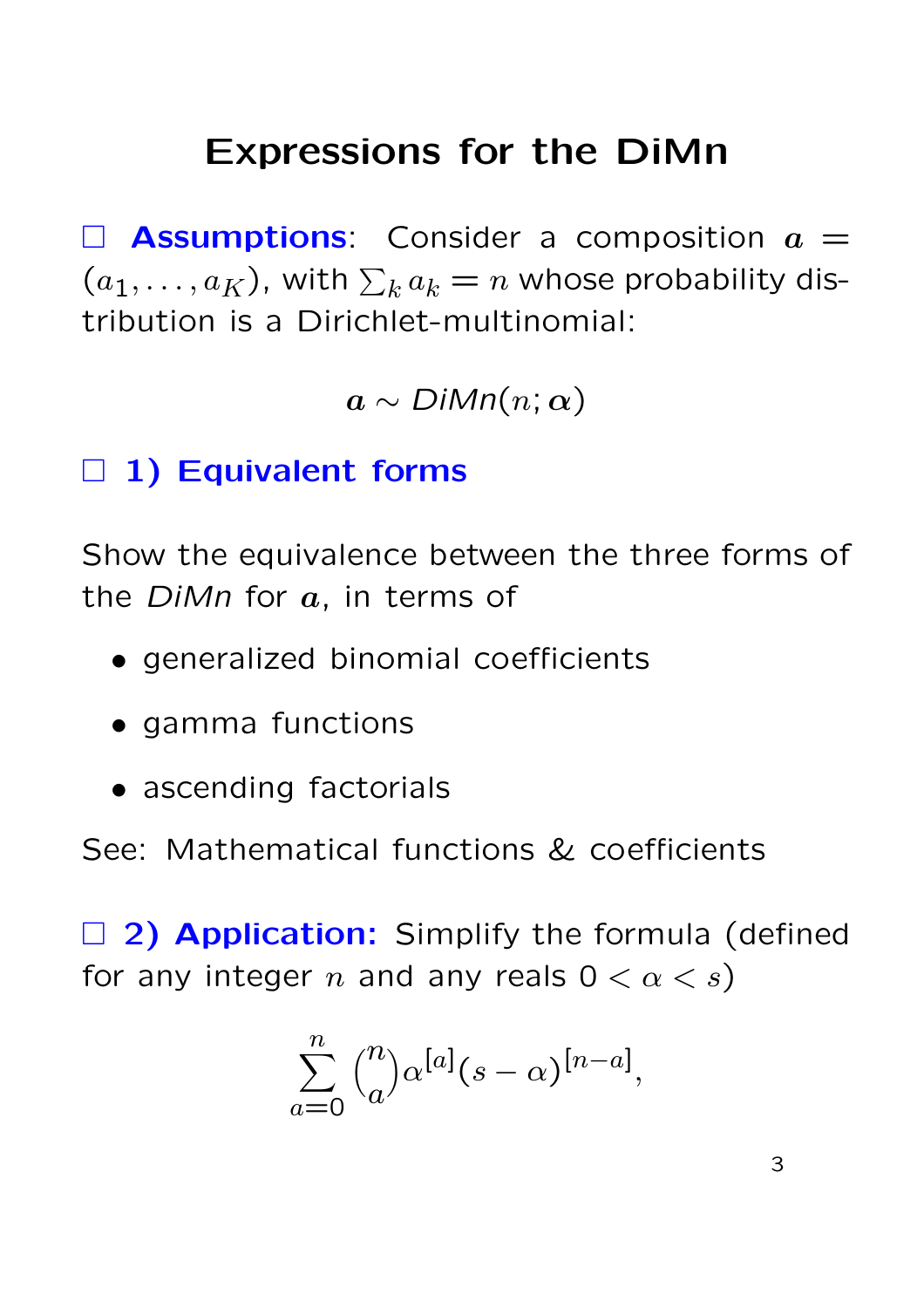# Expressions for the DiMn

 $\Box$  **Assumptions**: Consider a composition  $a =$  $(a_1, \ldots, a_K)$ , with  $\sum_k a_k = n$  whose probability distribution is a Dirichlet-multinomial:

 $a \sim \text{DiMn}(n; \alpha)$ 

### $\Box$  1) Equivalent forms

Show the equivalence between the three forms of the  $DiMn$  for  $a$ , in terms of

- generalized binomial coefficients
- gamma functions
- ascending factorials

See: Mathematical functions & coefficients

 $\Box$  2) Application: Simplify the formula (defined for any integer n and any reals  $0 < \alpha < s$ )

$$
\sum_{a=0}^{n} {n \choose a} \alpha^{[a]}(s-\alpha)^{[n-a]},
$$

3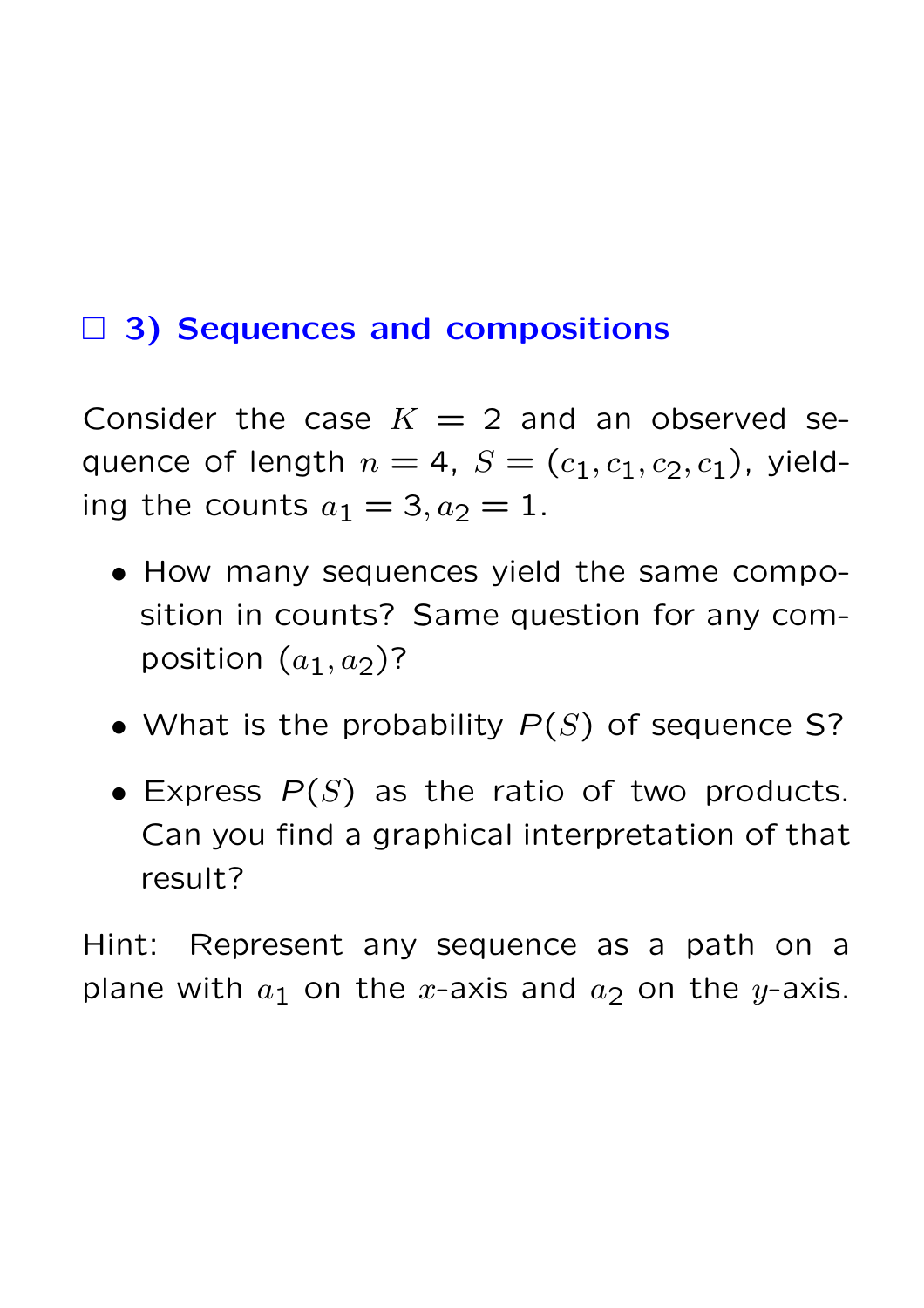#### □ 3) Sequences and compositions

Consider the case  $K = 2$  and an observed sequence of length  $n = 4$ ,  $S = (c_1, c_1, c_2, c_1)$ , yielding the counts  $a_1 = 3, a_2 = 1$ .

- How many sequences yield the same composition in counts? Same question for any composition  $(a_1, a_2)$ ?
- What is the probability  $P(S)$  of sequence S?
- Express  $P(S)$  as the ratio of two products. Can you find a graphical interpretation of that result?

Hint: Represent any sequence as a path on a plane with  $a_1$  on the x-axis and  $a_2$  on the y-axis.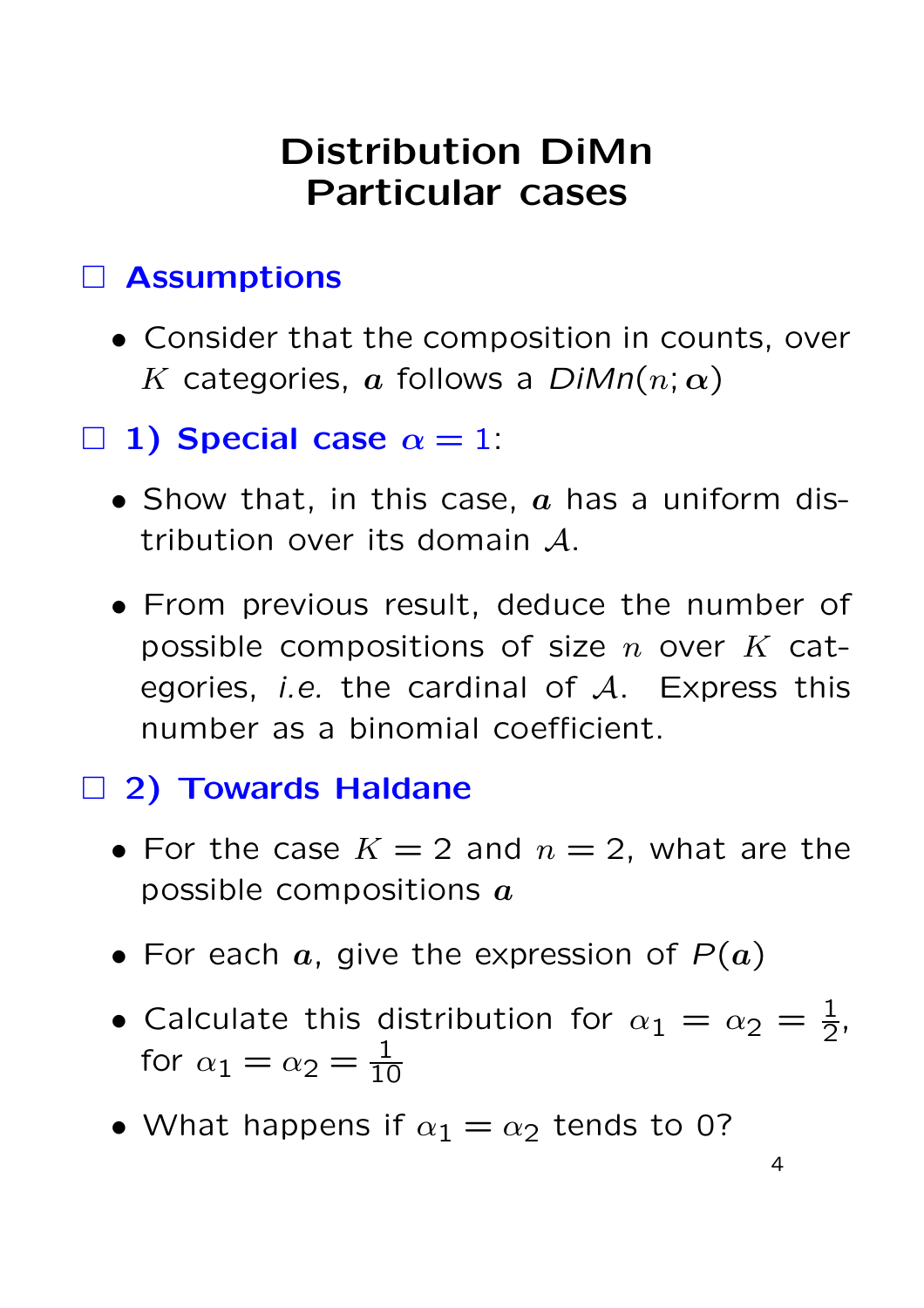# Distribution DiMn Particular cases

### Assumptions

- Consider that the composition in counts, over K categories, a follows a  $DiMn(n; \alpha)$
- $\Box$  1) Special case  $\alpha = 1$ :
	- Show that, in this case,  $a$  has a uniform distribution over its domain A.
	- From previous result, deduce the number of possible compositions of size  $n$  over  $K$  categories, *i.e.* the cardinal of  $A$ . Express this number as a binomial coefficient.

### □ 2) Towards Haldane

- For the case  $K = 2$  and  $n = 2$ , what are the possible compositions  $a$
- For each  $a$ , give the expression of  $P(a)$
- Calculate this distribution for  $\alpha_1 = \alpha_2 = \frac{1}{2}$ , for  $\alpha_1 = \alpha_2 = \frac{1}{10}$
- What happens if  $\alpha_1 = \alpha_2$  tends to 0?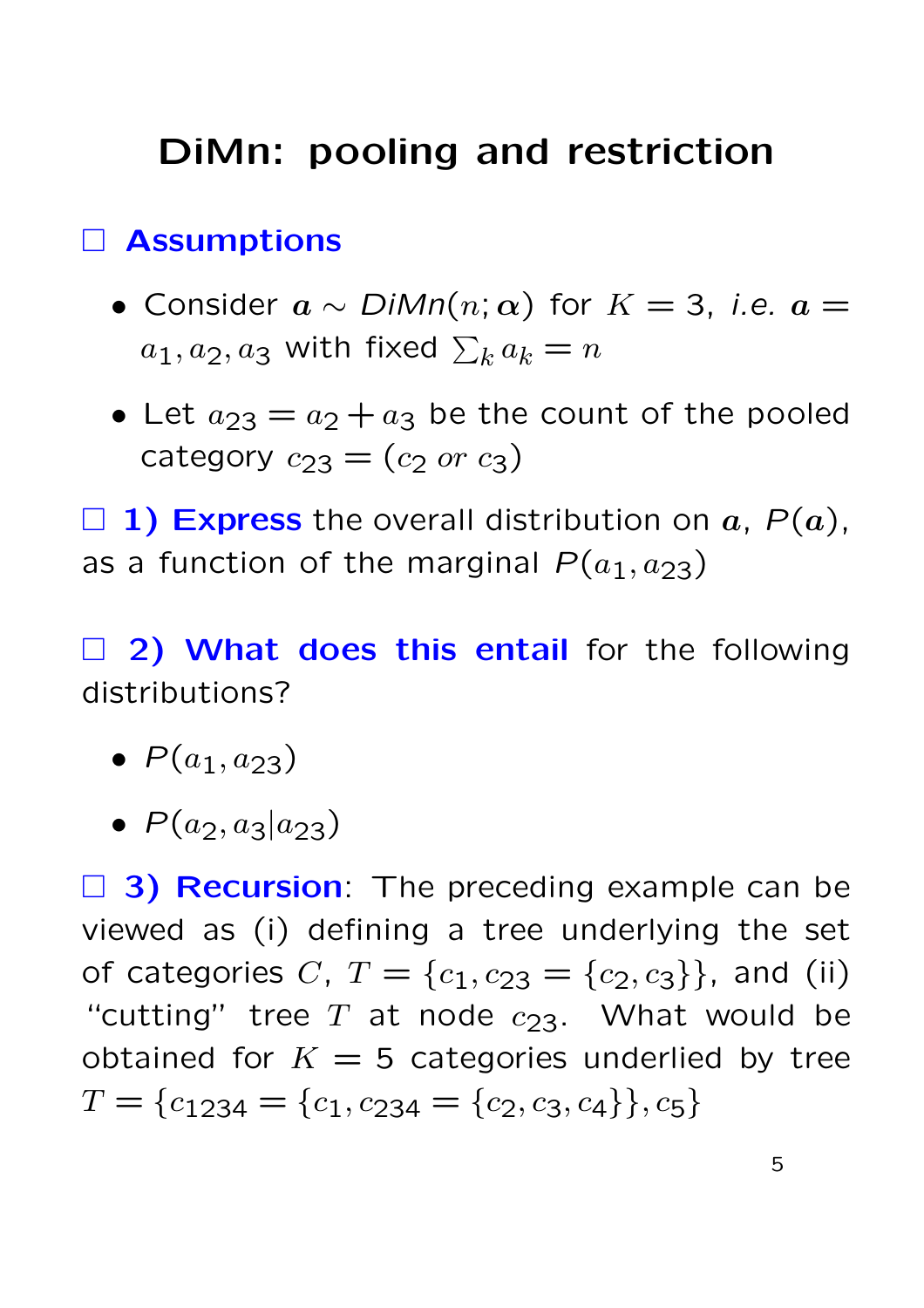# DiMn: pooling and restriction

#### Assumptions

- Consider  $a \sim \text{DiMn}(n; \alpha)$  for  $K = 3$ , *i.e.*  $a =$  $a_1, a_2, a_3$  with fixed  $\sum_k a_k = n$
- Let  $a_{23} = a_2 + a_3$  be the count of the pooled category  $c_{23} = (c_2 \text{ or } c_3)$

 $\Box$  1) Express the overall distribution on a,  $P(a)$ , as a function of the marginal  $P(a_1, a_{23})$ 

 $\Box$  2) What does this entail for the following distributions?

- $P(a_1, a_{23})$
- $P(a_2, a_3|a_2)$

 $\Box$  3) Recursion: The preceding example can be viewed as (i) defining a tree underlying the set of categories C,  $T = \{c_1, c_{23} = \{c_2, c_3\}\}\)$ , and (ii) "cutting" tree  $T$  at node  $c_{23}$ . What would be obtained for  $K = 5$  categories underlied by tree  $T = \{c_{1234} = \{c_1, c_{234} = \{c_2, c_3, c_4\}\}, c_5\}$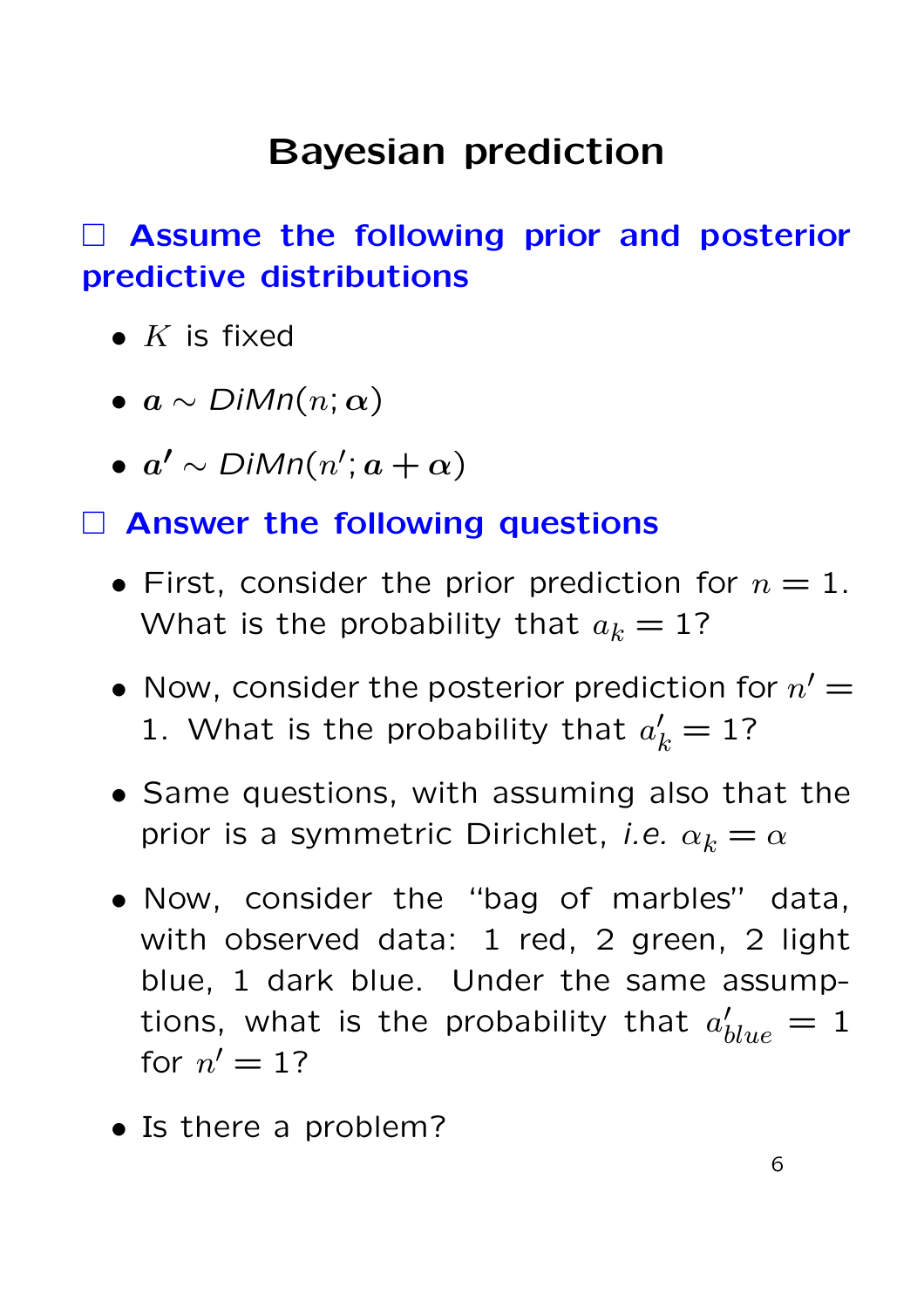# Bayesian prediction

### Assume the following prior and posterior predictive distributions

- $K$  is fixed
- $a \sim \text{DiMn}(n; \alpha)$
- $a' \sim \text{DiMn}(n'; a + \alpha)$

#### Answer the following questions

- First, consider the prior prediction for  $n=1$ . What is the probability that  $a_k = 1$ ?
- Now, consider the posterior prediction for  $n'$  = 1. What is the probability that  $a'_k = 1$ ?
- Same questions, with assuming also that the prior is a symmetric Dirichlet, *i.e.*  $\alpha_k = \alpha$
- Now, consider the "bag of marbles" data, with observed data: 1 red, 2 green, 2 light blue, 1 dark blue. Under the same assumptions, what is the probability that  $a'_k$  $_{blue}^{\prime\prime} = 1$ for  $n' = 1$ ?
- Is there a problem?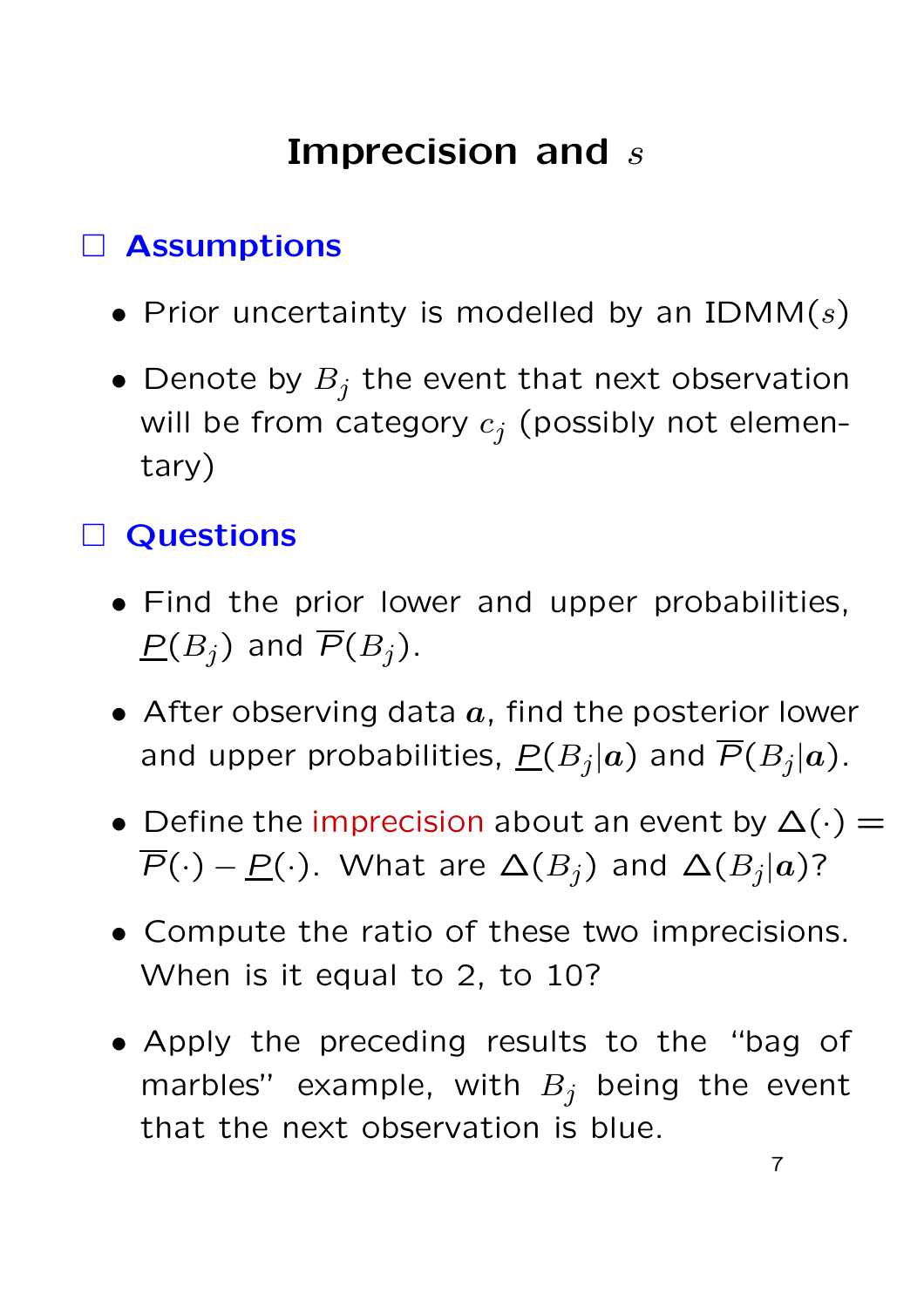# Imprecision and s

### Assumptions

- Prior uncertainty is modelled by an IDMM $(s)$
- Denote by  $B_j$  the event that next observation will be from category  $c_j$  (possibly not elementary)

### Questions

- Find the prior lower and upper probabilities,  $\underline{P}(B_i)$  and  $\overline{P}(B_i)$ .
- After observing data  $a$ , find the posterior lower and upper probabilities,  $\overline{P}(B_j|\bm{a})$  and  $\overline{P}(B_j|\bm{a})$ .
- Define the imprecision about an event by  $\Delta(\cdot)$  =  $\overline{P}(\cdot) - \underline{P}(\cdot)$ . What are  $\Delta(B_j)$  and  $\Delta(B_j|a)$ ?
- Compute the ratio of these two imprecisions. When is it equal to 2, to 10?
- Apply the preceding results to the "bag of marbles" example, with  $B_j$  being the event that the next observation is blue.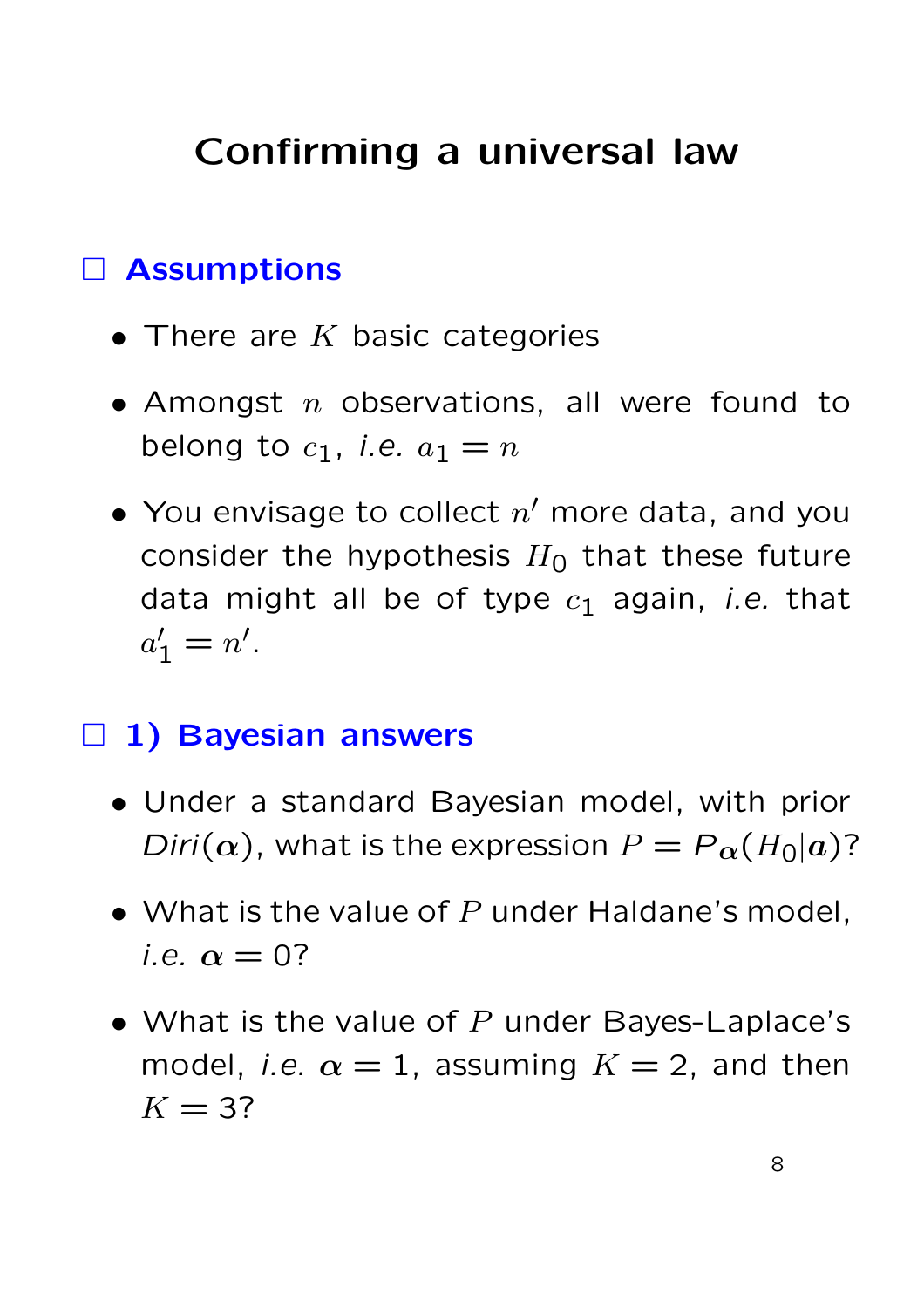# Confirming a universal law

### Assumptions

- There are  $K$  basic categories
- Amongst  $n$  observations, all were found to belong to  $c_1$ , *i.e.*  $a_1 = n$
- You envisage to collect  $n'$  more data, and you consider the hypothesis  $H_0$  that these future data might all be of type  $c_1$  again, *i.e.* that  $a'_1 = n'.$

#### $\Box$  1) Bayesian answers

- Under a standard Bayesian model, with prior Diri( $\alpha$ ), what is the expression  $P = P_{\alpha}(H_0|a)$ ?
- What is the value of  $P$  under Haldane's model, i.e.  $\alpha = 0$ ?
- What is the value of  $P$  under Bayes-Laplace's model, *i.e.*  $\alpha = 1$ , assuming  $K = 2$ , and then  $K = 3$ ?